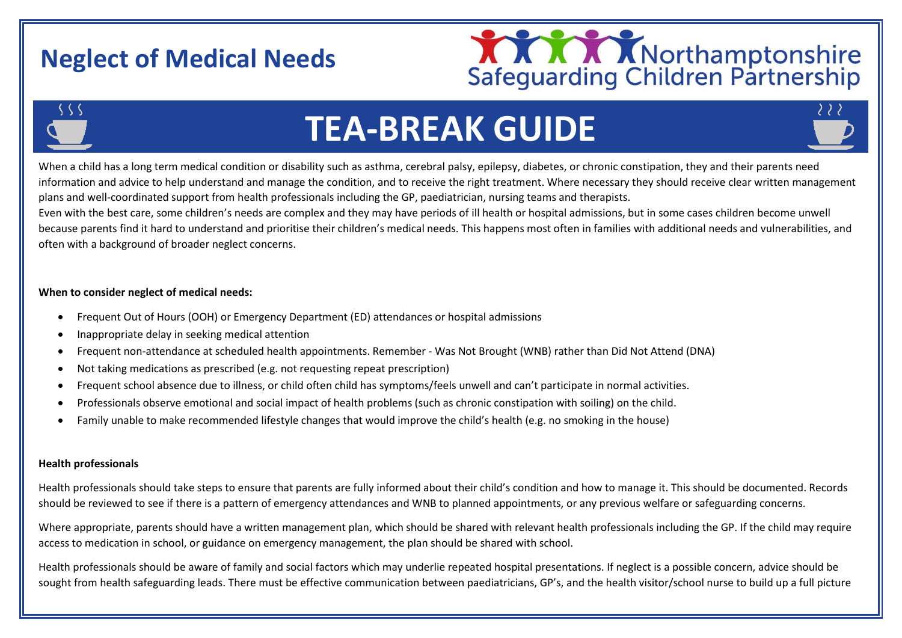# **Neglect of Medical Needs**





# **TEA-BREAK GUIDE**

When a child has a long term medical condition or disability such as asthma, cerebral palsy, epilepsy, diabetes, or chronic constipation, they and their parents need information and advice to help understand and manage the condition, and to receive the right treatment. Where necessary they should receive clear written management plans and well-coordinated support from health professionals including the GP, paediatrician, nursing teams and therapists.

Even with the best care, some children's needs are complex and they may have periods of ill health or hospital admissions, but in some cases children become unwell because parents find it hard to understand and prioritise their children's medical needs. This happens most often in families with additional needs and vulnerabilities, and often with a background of broader neglect concerns.

# **When to consider neglect of medical needs:**

- Frequent Out of Hours (OOH) or Emergency Department (ED) attendances or hospital admissions
- Inappropriate delay in seeking medical attention
- Frequent non-attendance at scheduled health appointments. Remember Was Not Brought (WNB) rather than Did Not Attend (DNA)
- Not taking medications as prescribed (e.g. not requesting repeat prescription)
- Frequent school absence due to illness, or child often child has symptoms/feels unwell and can't participate in normal activities.
- Professionals observe emotional and social impact of health problems (such as chronic constipation with soiling) on the child.
- Family unable to make recommended lifestyle changes that would improve the child's health (e.g. no smoking in the house)

#### **Health professionals**

Health professionals should take steps to ensure that parents are fully informed about their child's condition and how to manage it. This should be documented. Records should be reviewed to see if there is a pattern of emergency attendances and WNB to planned appointments, or any previous welfare or safeguarding concerns.

Where appropriate, parents should have a written management plan, which should be shared with relevant health professionals including the GP. If the child may require access to medication in school, or guidance on emergency management, the plan should be shared with school.

Health professionals should be aware of family and social factors which may underlie repeated hospital presentations. If neglect is a possible concern, advice should be sought from health safeguarding leads. There must be effective communication between paediatricians, GP's, and the health visitor/school nurse to build up a full picture